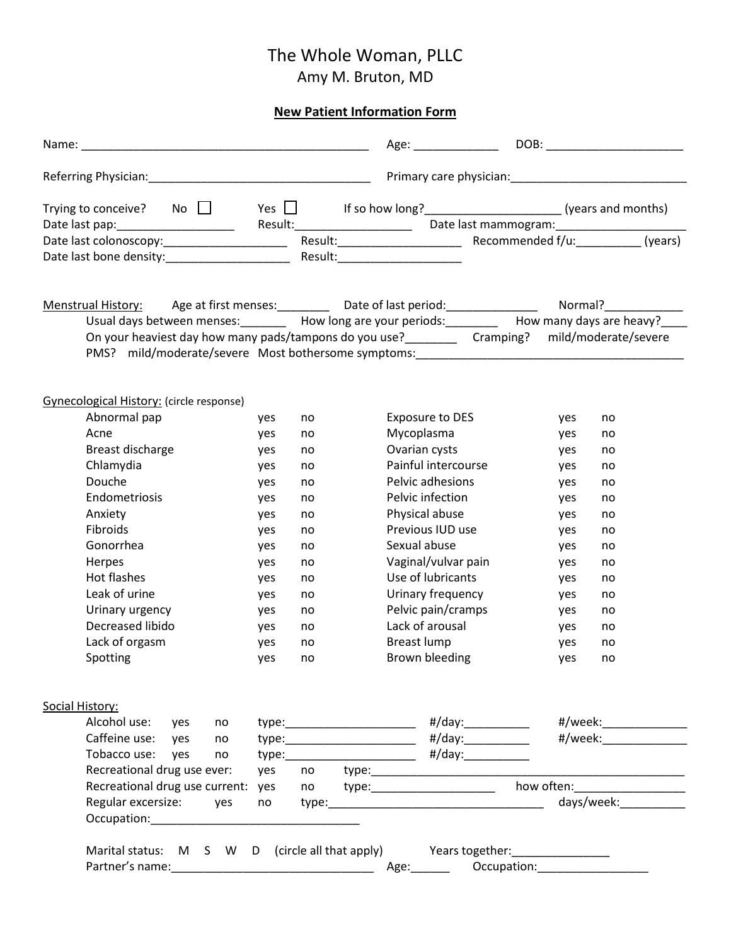## The Whole Woman, PLLC

Amy M. Bruton, MD

## **New Patient Information Form**

|                                                                                                                                                                                      |            |    | Age: ________________                                  |                                                                                                                |                                       |  |
|--------------------------------------------------------------------------------------------------------------------------------------------------------------------------------------|------------|----|--------------------------------------------------------|----------------------------------------------------------------------------------------------------------------|---------------------------------------|--|
|                                                                                                                                                                                      |            |    |                                                        |                                                                                                                |                                       |  |
| Trying to conceive? No $\Box$                                                                                                                                                        | Yes $\Box$ |    |                                                        |                                                                                                                |                                       |  |
|                                                                                                                                                                                      |            |    | Result:_______________________                         |                                                                                                                |                                       |  |
| Date last colonoscopy:________________________                                                                                                                                       |            |    |                                                        |                                                                                                                |                                       |  |
| Date last bone density:______________________                                                                                                                                        |            |    | Result:_______________________                         |                                                                                                                |                                       |  |
| Menstrual History: Age at first menses: Date of last period: Net Mormal? Normal?                                                                                                     |            |    |                                                        |                                                                                                                |                                       |  |
| Usual days between menses: _________ How long are your periods: _________ How many days are heavy?_                                                                                  |            |    |                                                        |                                                                                                                |                                       |  |
| On your heaviest day how many pads/tampons do you use?<br><u>Cramping</u> ? mild/moderate/severe<br>PMS? mild/moderate/severe Most bothersome symptoms: ____________________________ |            |    |                                                        |                                                                                                                |                                       |  |
| Gynecological History: (circle response)                                                                                                                                             |            |    |                                                        |                                                                                                                |                                       |  |
| Abnormal pap                                                                                                                                                                         | yes        | no | Exposure to DES                                        |                                                                                                                | yes<br>no                             |  |
| Acne                                                                                                                                                                                 | yes        | no | Mycoplasma                                             |                                                                                                                | yes<br>no                             |  |
| Breast discharge                                                                                                                                                                     | yes        | no | Ovarian cysts                                          |                                                                                                                | yes<br>no                             |  |
| Chlamydia                                                                                                                                                                            | yes        | no | Painful intercourse                                    |                                                                                                                | yes<br>no                             |  |
| Douche                                                                                                                                                                               | yes        | no | Pelvic adhesions                                       |                                                                                                                | yes<br>no                             |  |
| Endometriosis                                                                                                                                                                        | yes        | no | Pelvic infection                                       |                                                                                                                | yes<br>no                             |  |
| Anxiety                                                                                                                                                                              | yes        | no | Physical abuse                                         |                                                                                                                | yes<br>no                             |  |
| Fibroids                                                                                                                                                                             | yes        | no | Previous IUD use                                       |                                                                                                                | yes<br>no                             |  |
| Gonorrhea                                                                                                                                                                            | yes        | no | Sexual abuse                                           |                                                                                                                | yes<br>no                             |  |
| Herpes                                                                                                                                                                               | yes        | no | Vaginal/vulvar pain                                    |                                                                                                                | yes<br>no                             |  |
| Hot flashes                                                                                                                                                                          | yes        | no | Use of lubricants                                      |                                                                                                                | yes<br>no                             |  |
| Leak of urine                                                                                                                                                                        | yes        | no | Urinary frequency                                      |                                                                                                                | yes<br>no                             |  |
| Urinary urgency                                                                                                                                                                      | yes        | no | Pelvic pain/cramps                                     |                                                                                                                | yes<br>no                             |  |
| Decreased libido                                                                                                                                                                     | yes        | no | Lack of arousal                                        |                                                                                                                | yes<br>no                             |  |
| Lack of orgasm                                                                                                                                                                       | yes        | no | Breast lump                                            |                                                                                                                | yes<br>no                             |  |
| Spotting                                                                                                                                                                             | yes        | no | Brown bleeding                                         |                                                                                                                | yes<br>no                             |  |
| Social History:                                                                                                                                                                      |            |    |                                                        |                                                                                                                |                                       |  |
| Alcohol use: yes<br>no                                                                                                                                                               |            |    |                                                        |                                                                                                                |                                       |  |
| Caffeine use: yes<br>no                                                                                                                                                              |            |    | type:______________________________ #/day:____________ |                                                                                                                |                                       |  |
| Tobacco use: yes<br>no                                                                                                                                                               |            |    |                                                        |                                                                                                                |                                       |  |
| Recreational drug use ever:                                                                                                                                                          | yes        |    |                                                        |                                                                                                                |                                       |  |
| Recreational drug use current: yes                                                                                                                                                   |            |    |                                                        | how often: with the state of the state of the state of the state of the state of the state of the state of the |                                       |  |
| Regular excersize: yes                                                                                                                                                               |            |    |                                                        |                                                                                                                | days/week:                            |  |
| Marital status: M S W D (circle all that apply) Years together: ________________                                                                                                     |            |    |                                                        |                                                                                                                |                                       |  |
|                                                                                                                                                                                      |            |    |                                                        |                                                                                                                | Occupation: Network of the Contractor |  |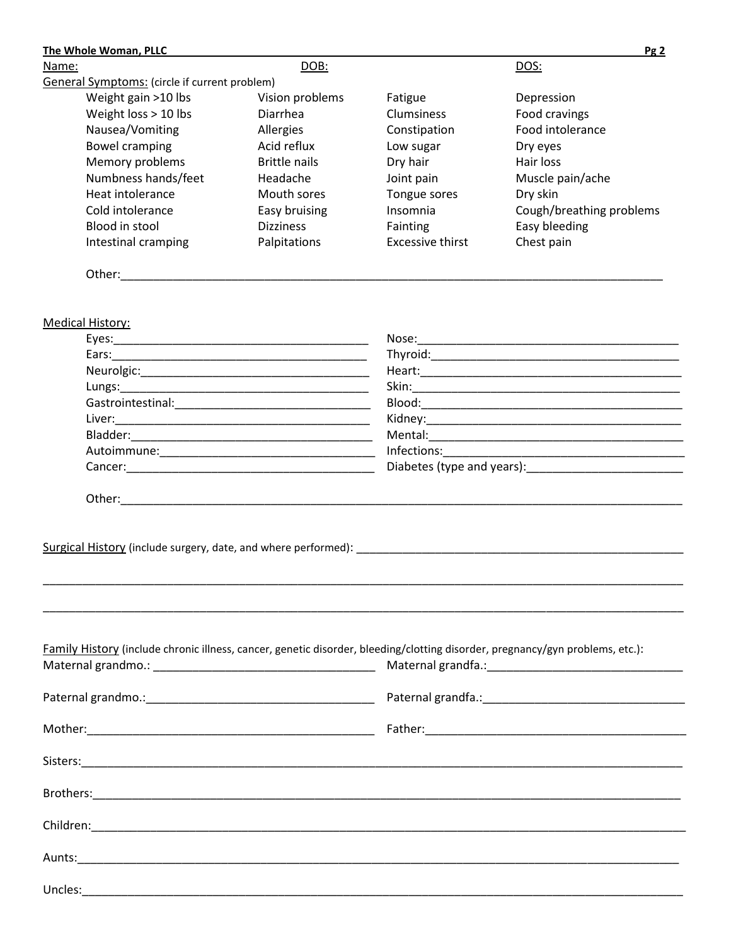| The Whole Woman, PLLC                                                                                                         |                      |                                                                                                                                                                                                                                                                                                                                                       | Pg2                      |  |  |
|-------------------------------------------------------------------------------------------------------------------------------|----------------------|-------------------------------------------------------------------------------------------------------------------------------------------------------------------------------------------------------------------------------------------------------------------------------------------------------------------------------------------------------|--------------------------|--|--|
| Name:                                                                                                                         | DOB:                 |                                                                                                                                                                                                                                                                                                                                                       | DOS:                     |  |  |
| General Symptoms: (circle if current problem)                                                                                 |                      |                                                                                                                                                                                                                                                                                                                                                       |                          |  |  |
| Weight gain >10 lbs                                                                                                           | Vision problems      | Fatigue                                                                                                                                                                                                                                                                                                                                               | Depression               |  |  |
| Weight loss > 10 lbs                                                                                                          | <b>Diarrhea</b>      | <b>Clumsiness</b>                                                                                                                                                                                                                                                                                                                                     | Food cravings            |  |  |
| Nausea/Vomiting                                                                                                               | Allergies            | Constipation                                                                                                                                                                                                                                                                                                                                          | Food intolerance         |  |  |
| <b>Bowel cramping</b>                                                                                                         | Acid reflux          | Low sugar                                                                                                                                                                                                                                                                                                                                             | Dry eyes                 |  |  |
| Memory problems                                                                                                               | <b>Brittle nails</b> | Dry hair                                                                                                                                                                                                                                                                                                                                              | Hair loss                |  |  |
| Numbness hands/feet                                                                                                           | Headache             | Joint pain                                                                                                                                                                                                                                                                                                                                            | Muscle pain/ache         |  |  |
| Heat intolerance                                                                                                              | Mouth sores          | Tongue sores                                                                                                                                                                                                                                                                                                                                          | Dry skin                 |  |  |
| Cold intolerance                                                                                                              | Easy bruising        | Insomnia                                                                                                                                                                                                                                                                                                                                              | Cough/breathing problems |  |  |
| Blood in stool                                                                                                                | <b>Dizziness</b>     | Fainting                                                                                                                                                                                                                                                                                                                                              | Easy bleeding            |  |  |
| Intestinal cramping                                                                                                           | Palpitations         | <b>Excessive thirst</b>                                                                                                                                                                                                                                                                                                                               | Chest pain               |  |  |
|                                                                                                                               |                      |                                                                                                                                                                                                                                                                                                                                                       |                          |  |  |
| <b>Medical History:</b>                                                                                                       |                      |                                                                                                                                                                                                                                                                                                                                                       |                          |  |  |
|                                                                                                                               |                      |                                                                                                                                                                                                                                                                                                                                                       |                          |  |  |
|                                                                                                                               |                      |                                                                                                                                                                                                                                                                                                                                                       |                          |  |  |
|                                                                                                                               |                      |                                                                                                                                                                                                                                                                                                                                                       |                          |  |  |
|                                                                                                                               |                      |                                                                                                                                                                                                                                                                                                                                                       |                          |  |  |
|                                                                                                                               |                      |                                                                                                                                                                                                                                                                                                                                                       |                          |  |  |
|                                                                                                                               |                      |                                                                                                                                                                                                                                                                                                                                                       |                          |  |  |
|                                                                                                                               |                      |                                                                                                                                                                                                                                                                                                                                                       |                          |  |  |
|                                                                                                                               |                      | Infections: The control of the control of the control of the control of the control of the control of the control of the control of the control of the control of the control of the control of the control of the control of<br><u> 1989 - Johann John Stein, markin fan it ferskearre fan it ferskearre fan it ferskearre fan it ferskearre fan</u> |                          |  |  |
|                                                                                                                               |                      | Diabetes (type and years): Diabetes (1999)                                                                                                                                                                                                                                                                                                            |                          |  |  |
|                                                                                                                               |                      |                                                                                                                                                                                                                                                                                                                                                       |                          |  |  |
|                                                                                                                               |                      |                                                                                                                                                                                                                                                                                                                                                       |                          |  |  |
| Surgical History (include surgery, date, and where performed): New Management of the state of the state of the                |                      |                                                                                                                                                                                                                                                                                                                                                       |                          |  |  |
|                                                                                                                               |                      |                                                                                                                                                                                                                                                                                                                                                       |                          |  |  |
|                                                                                                                               |                      |                                                                                                                                                                                                                                                                                                                                                       |                          |  |  |
| Family History (include chronic illness, cancer, genetic disorder, bleeding/clotting disorder, pregnancy/gyn problems, etc.): |                      |                                                                                                                                                                                                                                                                                                                                                       |                          |  |  |
|                                                                                                                               |                      |                                                                                                                                                                                                                                                                                                                                                       |                          |  |  |
|                                                                                                                               |                      |                                                                                                                                                                                                                                                                                                                                                       |                          |  |  |
|                                                                                                                               |                      |                                                                                                                                                                                                                                                                                                                                                       |                          |  |  |
|                                                                                                                               |                      |                                                                                                                                                                                                                                                                                                                                                       |                          |  |  |
|                                                                                                                               |                      |                                                                                                                                                                                                                                                                                                                                                       |                          |  |  |
|                                                                                                                               |                      |                                                                                                                                                                                                                                                                                                                                                       |                          |  |  |
|                                                                                                                               |                      |                                                                                                                                                                                                                                                                                                                                                       |                          |  |  |